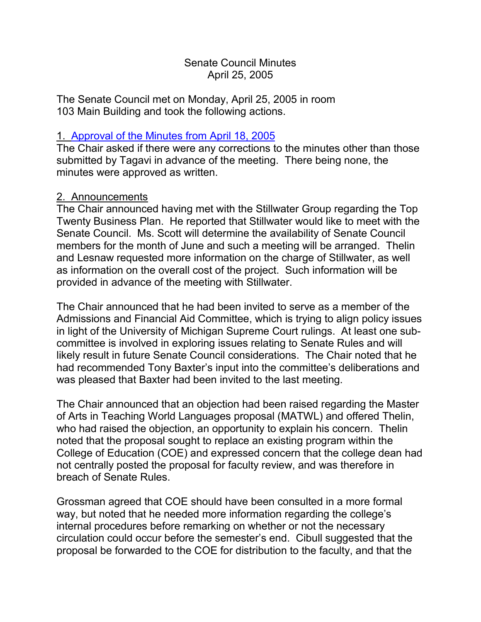# Senate Council Minutes April 25, 2005

The Senate Council met on Monday, April 25, 2005 in room 103 Main Building and took the following actions.

# 1. [Approval of the Minutes from](http://www.uky.edu/USC/New/SCMinutes/SC%20Minutes%20April%2018%202005%20FINAL.htm) April 18, 2005

The Chair asked if there were any corrections to the minutes other than those submitted by Tagavi in advance of the meeting. There being none, the minutes were approved as written.

## 2. Announcements

The Chair announced having met with the Stillwater Group regarding the Top Twenty Business Plan. He reported that Stillwater would like to meet with the Senate Council. Ms. Scott will determine the availability of Senate Council members for the month of June and such a meeting will be arranged. Thelin and Lesnaw requested more information on the charge of Stillwater, as well as information on the overall cost of the project. Such information will be provided in advance of the meeting with Stillwater.

The Chair announced that he had been invited to serve as a member of the Admissions and Financial Aid Committee, which is trying to align policy issues in light of the University of Michigan Supreme Court rulings. At least one subcommittee is involved in exploring issues relating to Senate Rules and will likely result in future Senate Council considerations. The Chair noted that he had recommended Tony Baxter's input into the committee's deliberations and was pleased that Baxter had been invited to the last meeting.

The Chair announced that an objection had been raised regarding the Master of Arts in Teaching World Languages proposal (MATWL) and offered Thelin, who had raised the objection, an opportunity to explain his concern. Thelin noted that the proposal sought to replace an existing program within the College of Education (COE) and expressed concern that the college dean had not centrally posted the proposal for faculty review, and was therefore in breach of Senate Rules.

Grossman agreed that COE should have been consulted in a more formal way, but noted that he needed more information regarding the college's internal procedures before remarking on whether or not the necessary circulation could occur before the semester's end. Cibull suggested that the proposal be forwarded to the COE for distribution to the faculty, and that the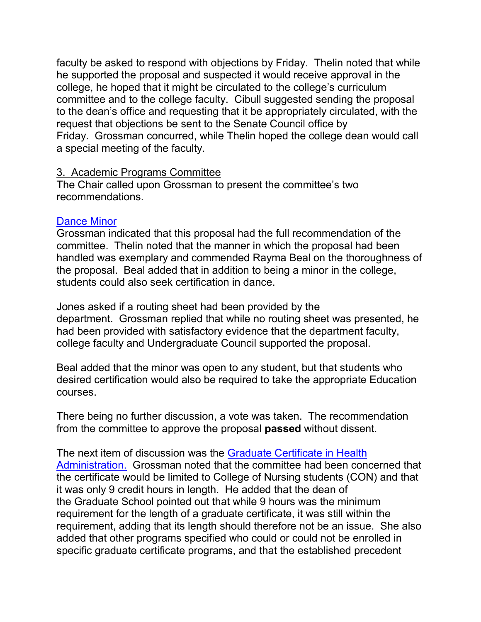faculty be asked to respond with objections by Friday. Thelin noted that while he supported the proposal and suspected it would receive approval in the college, he hoped that it might be circulated to the college's curriculum committee and to the college faculty. Cibull suggested sending the proposal to the dean's office and requesting that it be appropriately circulated, with the request that objections be sent to the Senate Council office by Friday. Grossman concurred, while Thelin hoped the college dean would call a special meeting of the faculty.

### 3. Academic Programs Committee

The Chair called upon Grossman to present the committee's two recommendations.

## [Dance Minor](http://www.uky.edu/USC/New/Comms/Programs/New%20Dance%20Certification.pdf)

Grossman indicated that this proposal had the full recommendation of the committee. Thelin noted that the manner in which the proposal had been handled was exemplary and commended Rayma Beal on the thoroughness of the proposal. Beal added that in addition to being a minor in the college, students could also seek certification in dance.

Jones asked if a routing sheet had been provided by the department. Grossman replied that while no routing sheet was presented, he had been provided with satisfactory evidence that the department faculty, college faculty and Undergraduate Council supported the proposal.

Beal added that the minor was open to any student, but that students who desired certification would also be required to take the appropriate Education courses.

There being no further discussion, a vote was taken. The recommendation from the committee to approve the proposal **passed** without dissent.

The next item of discussion was the [Graduate Certificate in Health](http://www.uky.edu/USC/New/Comms/Programs/HLAD%20CERT.pdf)  [Administration.](http://www.uky.edu/USC/New/Comms/Programs/HLAD%20CERT.pdf) Grossman noted that the committee had been concerned that the certificate would be limited to College of Nursing students (CON) and that it was only 9 credit hours in length. He added that the dean of the Graduate School pointed out that while 9 hours was the minimum requirement for the length of a graduate certificate, it was still within the requirement, adding that its length should therefore not be an issue. She also added that other programs specified who could or could not be enrolled in specific graduate certificate programs, and that the established precedent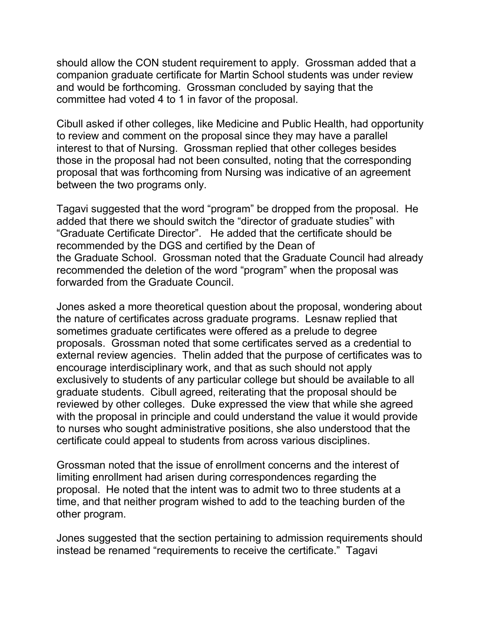should allow the CON student requirement to apply. Grossman added that a companion graduate certificate for Martin School students was under review and would be forthcoming. Grossman concluded by saying that the committee had voted 4 to 1 in favor of the proposal.

Cibull asked if other colleges, like Medicine and Public Health, had opportunity to review and comment on the proposal since they may have a parallel interest to that of Nursing. Grossman replied that other colleges besides those in the proposal had not been consulted, noting that the corresponding proposal that was forthcoming from Nursing was indicative of an agreement between the two programs only.

Tagavi suggested that the word "program" be dropped from the proposal. He added that there we should switch the "director of graduate studies" with "Graduate Certificate Director". He added that the certificate should be recommended by the DGS and certified by the Dean of the Graduate School. Grossman noted that the Graduate Council had already recommended the deletion of the word "program" when the proposal was forwarded from the Graduate Council.

Jones asked a more theoretical question about the proposal, wondering about the nature of certificates across graduate programs. Lesnaw replied that sometimes graduate certificates were offered as a prelude to degree proposals. Grossman noted that some certificates served as a credential to external review agencies. Thelin added that the purpose of certificates was to encourage interdisciplinary work, and that as such should not apply exclusively to students of any particular college but should be available to all graduate students. Cibull agreed, reiterating that the proposal should be reviewed by other colleges. Duke expressed the view that while she agreed with the proposal in principle and could understand the value it would provide to nurses who sought administrative positions, she also understood that the certificate could appeal to students from across various disciplines.

Grossman noted that the issue of enrollment concerns and the interest of limiting enrollment had arisen during correspondences regarding the proposal. He noted that the intent was to admit two to three students at a time, and that neither program wished to add to the teaching burden of the other program.

Jones suggested that the section pertaining to admission requirements should instead be renamed "requirements to receive the certificate." Tagavi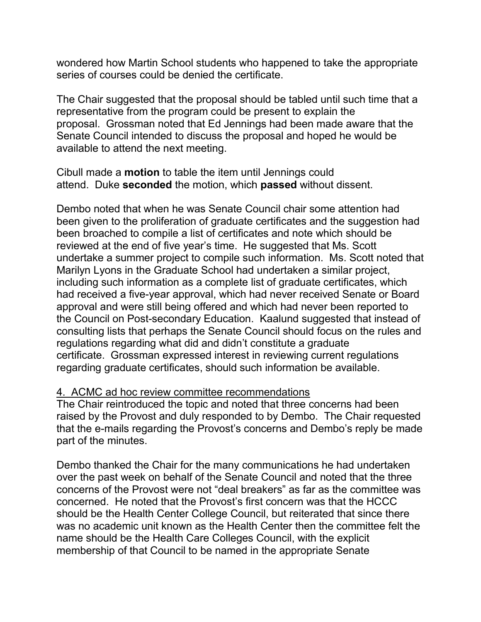wondered how Martin School students who happened to take the appropriate series of courses could be denied the certificate.

The Chair suggested that the proposal should be tabled until such time that a representative from the program could be present to explain the proposal. Grossman noted that Ed Jennings had been made aware that the Senate Council intended to discuss the proposal and hoped he would be available to attend the next meeting.

Cibull made a **motion** to table the item until Jennings could attend. Duke **seconded** the motion, which **passed** without dissent.

Dembo noted that when he was Senate Council chair some attention had been given to the proliferation of graduate certificates and the suggestion had been broached to compile a list of certificates and note which should be reviewed at the end of five year's time. He suggested that Ms. Scott undertake a summer project to compile such information. Ms. Scott noted that Marilyn Lyons in the Graduate School had undertaken a similar project, including such information as a complete list of graduate certificates, which had received a five-year approval, which had never received Senate or Board approval and were still being offered and which had never been reported to the Council on Post-secondary Education. Kaalund suggested that instead of consulting lists that perhaps the Senate Council should focus on the rules and regulations regarding what did and didn't constitute a graduate certificate. Grossman expressed interest in reviewing current regulations regarding graduate certificates, should such information be available.

#### 4. ACMC ad hoc review committee recommendations

The Chair reintroduced the topic and noted that three concerns had been raised by the Provost and duly responded to by Dembo. The Chair requested that the e-mails regarding the Provost's concerns and Dembo's reply be made part of the minutes.

Dembo thanked the Chair for the many communications he had undertaken over the past week on behalf of the Senate Council and noted that the three concerns of the Provost were not "deal breakers" as far as the committee was concerned. He noted that the Provost's first concern was that the HCCC should be the Health Center College Council, but reiterated that since there was no academic unit known as the Health Center then the committee felt the name should be the Health Care Colleges Council, with the explicit membership of that Council to be named in the appropriate Senate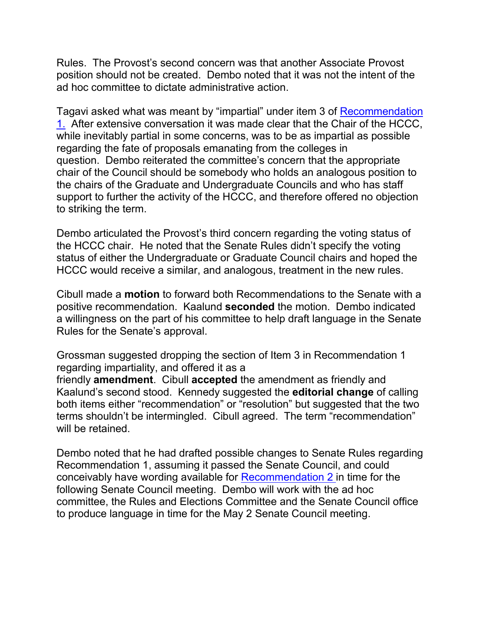Rules. The Provost's second concern was that another Associate Provost position should not be created. Dembo noted that it was not the intent of the ad hoc committee to dictate administrative action.

Tagavi asked what was meant by "impartial" under item 3 of [Recommendation](http://www.uky.edu/USC/New/SCAgendas/20050418/ACMC%20Review%20Comm%20Resolution%201.doc)  [1.](http://www.uky.edu/USC/New/SCAgendas/20050418/ACMC%20Review%20Comm%20Resolution%201.doc) After extensive conversation it was made clear that the Chair of the HCCC, while inevitably partial in some concerns, was to be as impartial as possible regarding the fate of proposals emanating from the colleges in question. Dembo reiterated the committee's concern that the appropriate chair of the Council should be somebody who holds an analogous position to the chairs of the Graduate and Undergraduate Councils and who has staff support to further the activity of the HCCC, and therefore offered no objection to striking the term.

Dembo articulated the Provost's third concern regarding the voting status of the HCCC chair. He noted that the Senate Rules didn't specify the voting status of either the Undergraduate or Graduate Council chairs and hoped the HCCC would receive a similar, and analogous, treatment in the new rules.

Cibull made a **motion** to forward both Recommendations to the Senate with a positive recommendation. Kaalund **seconded** the motion. Dembo indicated a willingness on the part of his committee to help draft language in the Senate Rules for the Senate's approval.

Grossman suggested dropping the section of Item 3 in Recommendation 1 regarding impartiality, and offered it as a friendly **amendment**. Cibull **accepted** the amendment as friendly and Kaalund's second stood. Kennedy suggested the **editorial change** of calling both items either "recommendation" or "resolution" but suggested that the two terms shouldn't be intermingled. Cibull agreed. The term "recommendation" will be retained.

Dembo noted that he had drafted possible changes to Senate Rules regarding Recommendation 1, assuming it passed the Senate Council, and could conceivably have wording available for [Recommendation 2](http://www.uky.edu/USC/New/SCAgendas/20050418/ACMC%20Review%20Comm%20Resolution%202.doc) in time for the following Senate Council meeting. Dembo will work with the ad hoc committee, the Rules and Elections Committee and the Senate Council office to produce language in time for the May 2 Senate Council meeting.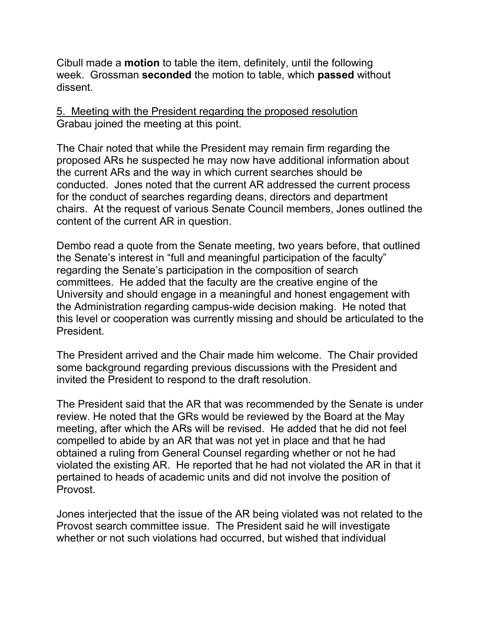Cibull made a **motion** to table the item, definitely, until the following week. Grossman **seconded** the motion to table, which **passed** without dissent.

### 5. Meeting with the President regarding the proposed resolution Grabau joined the meeting at this point.

The Chair noted that while the President may remain firm regarding the proposed ARs he suspected he may now have additional information about the current ARs and the way in which current searches should be conducted. Jones noted that the current AR addressed the current process for the conduct of searches regarding deans, directors and department chairs. At the request of various Senate Council members, Jones outlined the content of the current AR in question.

Dembo read a quote from the Senate meeting, two years before, that outlined the Senate's interest in "full and meaningful participation of the faculty" regarding the Senate's participation in the composition of search committees. He added that the faculty are the creative engine of the University and should engage in a meaningful and honest engagement with the Administration regarding campus-wide decision making. He noted that this level or cooperation was currently missing and should be articulated to the President.

The President arrived and the Chair made him welcome. The Chair provided some background regarding previous discussions with the President and invited the President to respond to the draft resolution.

The President said that the AR that was recommended by the Senate is under review. He noted that the GRs would be reviewed by the Board at the May meeting, after which the ARs will be revised. He added that he did not feel compelled to abide by an AR that was not yet in place and that he had obtained a ruling from General Counsel regarding whether or not he had violated the existing AR. He reported that he had not violated the AR in that it pertained to heads of academic units and did not involve the position of Provost.

Jones interjected that the issue of the AR being violated was not related to the Provost search committee issue. The President said he will investigate whether or not such violations had occurred, but wished that individual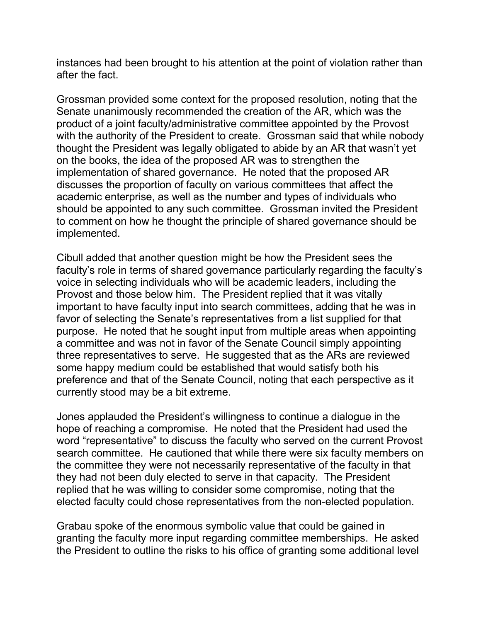instances had been brought to his attention at the point of violation rather than after the fact.

Grossman provided some context for the proposed resolution, noting that the Senate unanimously recommended the creation of the AR, which was the product of a joint faculty/administrative committee appointed by the Provost with the authority of the President to create. Grossman said that while nobody thought the President was legally obligated to abide by an AR that wasn't yet on the books, the idea of the proposed AR was to strengthen the implementation of shared governance. He noted that the proposed AR discusses the proportion of faculty on various committees that affect the academic enterprise, as well as the number and types of individuals who should be appointed to any such committee. Grossman invited the President to comment on how he thought the principle of shared governance should be implemented.

Cibull added that another question might be how the President sees the faculty's role in terms of shared governance particularly regarding the faculty's voice in selecting individuals who will be academic leaders, including the Provost and those below him. The President replied that it was vitally important to have faculty input into search committees, adding that he was in favor of selecting the Senate's representatives from a list supplied for that purpose. He noted that he sought input from multiple areas when appointing a committee and was not in favor of the Senate Council simply appointing three representatives to serve. He suggested that as the ARs are reviewed some happy medium could be established that would satisfy both his preference and that of the Senate Council, noting that each perspective as it currently stood may be a bit extreme.

Jones applauded the President's willingness to continue a dialogue in the hope of reaching a compromise. He noted that the President had used the word "representative" to discuss the faculty who served on the current Provost search committee. He cautioned that while there were six faculty members on the committee they were not necessarily representative of the faculty in that they had not been duly elected to serve in that capacity. The President replied that he was willing to consider some compromise, noting that the elected faculty could chose representatives from the non-elected population.

Grabau spoke of the enormous symbolic value that could be gained in granting the faculty more input regarding committee memberships. He asked the President to outline the risks to his office of granting some additional level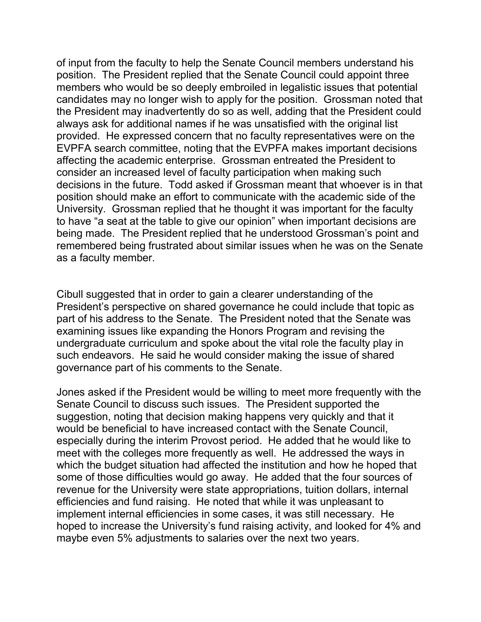of input from the faculty to help the Senate Council members understand his position. The President replied that the Senate Council could appoint three members who would be so deeply embroiled in legalistic issues that potential candidates may no longer wish to apply for the position. Grossman noted that the President may inadvertently do so as well, adding that the President could always ask for additional names if he was unsatisfied with the original list provided. He expressed concern that no faculty representatives were on the EVPFA search committee, noting that the EVPFA makes important decisions affecting the academic enterprise. Grossman entreated the President to consider an increased level of faculty participation when making such decisions in the future. Todd asked if Grossman meant that whoever is in that position should make an effort to communicate with the academic side of the University. Grossman replied that he thought it was important for the faculty to have "a seat at the table to give our opinion" when important decisions are being made. The President replied that he understood Grossman's point and remembered being frustrated about similar issues when he was on the Senate as a faculty member.

Cibull suggested that in order to gain a clearer understanding of the President's perspective on shared governance he could include that topic as part of his address to the Senate. The President noted that the Senate was examining issues like expanding the Honors Program and revising the undergraduate curriculum and spoke about the vital role the faculty play in such endeavors. He said he would consider making the issue of shared governance part of his comments to the Senate.

Jones asked if the President would be willing to meet more frequently with the Senate Council to discuss such issues. The President supported the suggestion, noting that decision making happens very quickly and that it would be beneficial to have increased contact with the Senate Council, especially during the interim Provost period. He added that he would like to meet with the colleges more frequently as well. He addressed the ways in which the budget situation had affected the institution and how he hoped that some of those difficulties would go away. He added that the four sources of revenue for the University were state appropriations, tuition dollars, internal efficiencies and fund raising. He noted that while it was unpleasant to implement internal efficiencies in some cases, it was still necessary. He hoped to increase the University's fund raising activity, and looked for 4% and maybe even 5% adjustments to salaries over the next two years.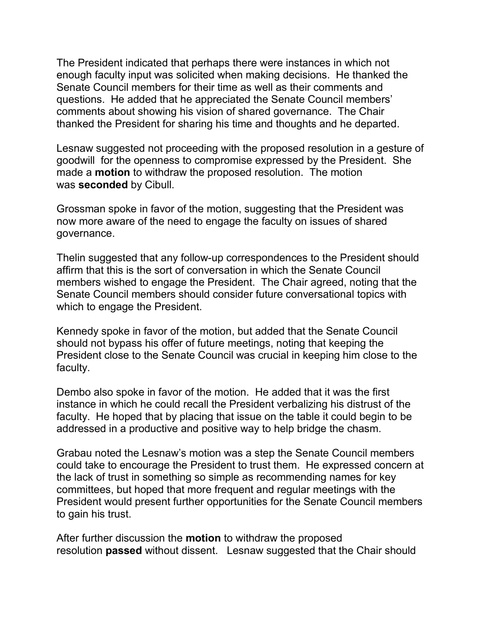The President indicated that perhaps there were instances in which not enough faculty input was solicited when making decisions. He thanked the Senate Council members for their time as well as their comments and questions. He added that he appreciated the Senate Council members' comments about showing his vision of shared governance. The Chair thanked the President for sharing his time and thoughts and he departed.

Lesnaw suggested not proceeding with the proposed resolution in a gesture of goodwill for the openness to compromise expressed by the President. She made a **motion** to withdraw the proposed resolution. The motion was **seconded** by Cibull.

Grossman spoke in favor of the motion, suggesting that the President was now more aware of the need to engage the faculty on issues of shared governance.

Thelin suggested that any follow-up correspondences to the President should affirm that this is the sort of conversation in which the Senate Council members wished to engage the President. The Chair agreed, noting that the Senate Council members should consider future conversational topics with which to engage the President.

Kennedy spoke in favor of the motion, but added that the Senate Council should not bypass his offer of future meetings, noting that keeping the President close to the Senate Council was crucial in keeping him close to the faculty.

Dembo also spoke in favor of the motion. He added that it was the first instance in which he could recall the President verbalizing his distrust of the faculty. He hoped that by placing that issue on the table it could begin to be addressed in a productive and positive way to help bridge the chasm.

Grabau noted the Lesnaw's motion was a step the Senate Council members could take to encourage the President to trust them. He expressed concern at the lack of trust in something so simple as recommending names for key committees, but hoped that more frequent and regular meetings with the President would present further opportunities for the Senate Council members to gain his trust.

After further discussion the **motion** to withdraw the proposed resolution **passed** without dissent. Lesnaw suggested that the Chair should